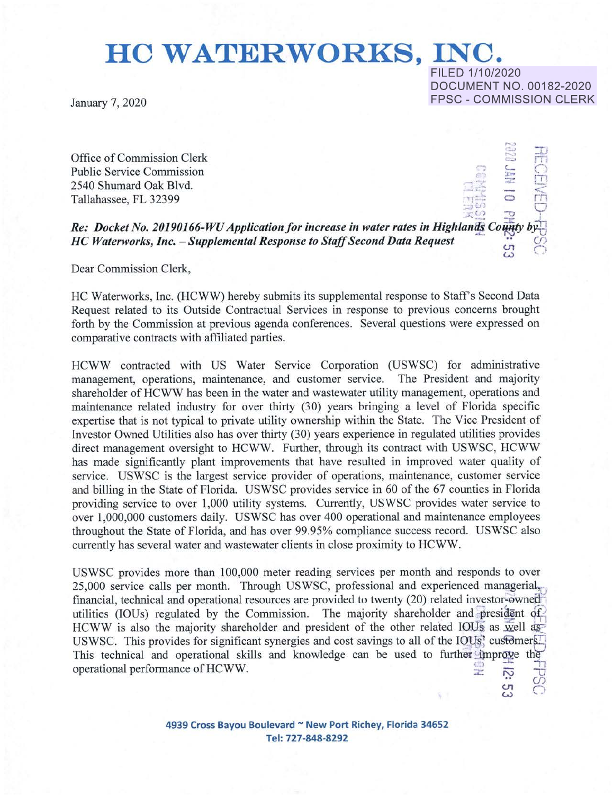# **HO WATERWORKS, INC.**

FILED 1/10/2020

DOCUMENT NO. 00182-2020

 $\mathcal{L}$ ., <sup>t</sup>> **\_1..J**  I

> $\bigcirc$ fT1  $\lt$

 $\ddot{\omega}$  ( )

 $\overline{C}$ **w** 

January 7, 2020 **FPSC - COMMISSION CLERK** 

Office of Commission Clerk Public Service Commission 2540 Shumard Oak Blvd. Tallahassee, FL 32399  $\overline{O}$ 

*Re: Docket No. 20190166-WU Application for increase in water rates in Highlands County by HC Waterworks, Inc.* - *Supplemental Response to Staff Second Data Request* ;\_;, *en* 

Dear Commission Clerk,

HC Waterworks, Inc. (HCWW) hereby submits its supplemental response to Staff's Second Data Request related to its Outside Contractual Services in response to previous concerns brought forth by the Commission at previous agenda conferences. Several questions were expressed on comparative contracts with affiliated parties.

HCWW contracted with US Water Service Corporation (USWSC) for administrative management, operations, maintenance, and customer service. The President and majority shareholder of HCWW has been in the water and wastewater utility management, operations and maintenance related industry for over thirty (30) years bringing a level of Florida specific expertise that is not typical to private utility ownership within the State. The Vice President of Investor Owned Utilities also has over thirty (30) years experience in regulated utilities provides direct management oversight to HCWW. Further, through its contract with USWSC, HCWW has made significantly plant improvements that have resulted in improved water quality of service. USWSC is the largest service provider of operations, maintenance, customer service and billing in the State of Florida. USWSC provides service in 60 of the 67 counties in Florida providing service to over 1,000 utility systems. Currently, USWSC provides water service to over 1,000,000 customers daily. USWSC has over 400 operational and maintenance employees throughout the State of Florida, and has over 99.95% compliance success record. USWSC also currently has several water and wastewater clients in close proximity to HCWW.

USWSC provides more than 100,000 meter reading services per month and responds to over 25,000 service calls per month. Through USWSC, professional and experienced managerial, financial, technical and operational resources are provided to twenty (20) related investor-owned utilities (IOUs) regulated by the Commission. The majority shareholder and president of HCWW is also the majority shareholder and president of the other related IOUs as well as USWSC. This provides for significant synergies and cost savings to all of the IOUs? customers $\Box$ This technical and operational skills and knowledge can be used to further improve the operational performance of HCWW.  $\leq$  $\cdot$  ( $\cap$ 

> **4939 Cross Bayou Boulevard** - **New Port Richey, Florida 34652**  Tel: **727-848-8292**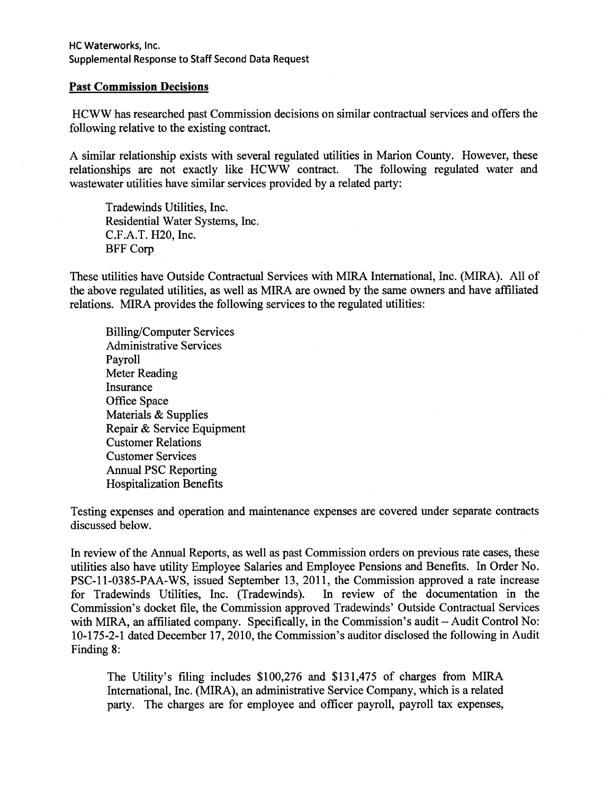### **Past Commission Decisions**

HCWW has researched past Commission decisions on similar contractual services and offers the following relative to the existing contract.

A similar relationship exists with several regulated utilities in Marion County. However, these relationships are not exactly like HCWW contract. The following regulated water and relationships are not exactly like HCWW contract. wastewater utilities have similar services provided by a related party:

Tradewinds Utilities, Inc. Residential Water Systems, Inc. C.F.A.T. H20, Inc. BFF Corp

These utilities have Outside Contractual Services with MIRA International, Inc. (MIRA). All of the above regulated utilities, as well as MIRA are owned by the same owners and have affiliated relations. MIRA provides the following services to the regulated utilities:

Billing/Computer Services Administrative Services Payroll Meter Reading **Insurance** Office Space Materials & Supplies Repair & Service Equipment Customer Relations Customer Services Annual PSC Reporting Hospitalization Benefits

Testing expenses and operation and maintenance expenses are covered under separate contracts discussed below.

In review of the Annual Reports, as well as past Commission orders on previous rate cases, these utilities also have utility Employee Salaries and Employee Pensions and Benefits. In Order No. PSC-11-0385-PAA-WS, issued September 13, 2011, the Commission approved a rate increase<br>for Tradewinds Utilities, Inc. (Tradewinds). In review of the documentation in the for Tradewinds Utilities, Inc. (Tradewinds). Commission's docket file, the Commission approved Tradewinds' Outside Contractual Services with MIRA, an affiliated company. Specifically, in the Commission's audit - Audit Control No: 10-175-2-1 dated December 17, 2010, the Commission's auditor disclosed the following in Audit Finding 8:

The Utility's filing includes \$100,276 and \$131,475 of charges from MIRA International, Inc. (MIRA), an administrative Service Company, which is a related party. The charges are for employee and officer payroll, payroll tax expenses,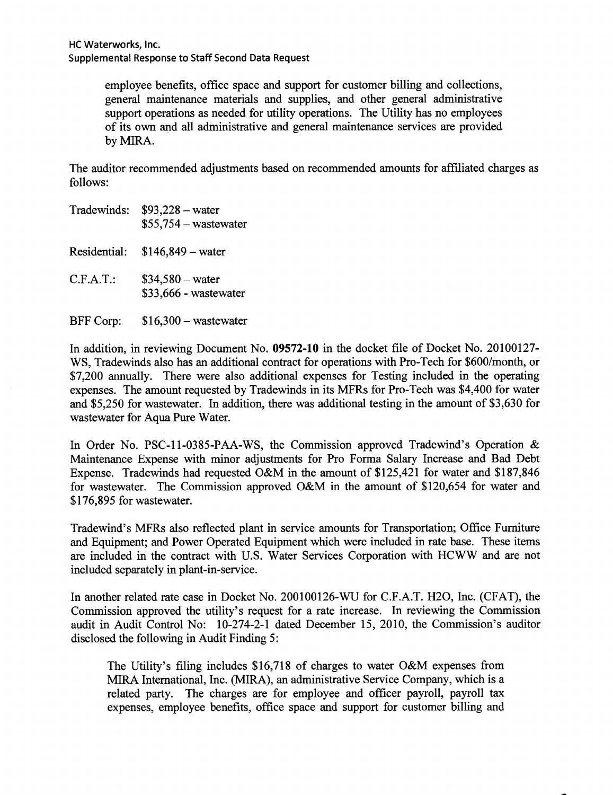employee benefits, office space and support for customer billing and collections, general maintenance materials and supplies, and other general administrative support operations as needed for utility operations. The Utility has no employees of its own and all administrative and general maintenance services are provided by **MIRA.** 

The auditor recommended adjustments based on recommended amounts for affiliated charges as follows:

- Tradewinds:  $$93,228 water$  $$55,754$  - wastewater Residential: \$146,849 -water C.F.A.T.: \$34,580-water \$33,666 - wastewater
- BFF Corp: \$16,300 wastewater

In addition, in reviewing Document No. **09572-10** in the docket file of Docket No. 20100127- WS, Tradewinds also has an additional contract for operations with Pro-Tech for \$600/month, or \$7,200 annually. There were also additional expenses for Testing included in the operating expenses. The amount requested by Tradewinds in its MFRs for Pro-Tech was \$4,400 for water and \$5,250 for wastewater. In addition, there was additional testing in the amount of \$3,630 for wastewater for Aqua Pure Water.

In Order No. PSC-11-0385-PAA-WS, the Commission approved Tradewind's Operation & Maintenance Expense with minor adjustments for Pro Forma Salary Increase and Bad Debt Expense. Tradewinds had requested O&M in the amount of \$125,421 for water and \$187,846 for wastewater. The Commission approved O&M in the amount of \$120,654 for water and \$176,895 for wastewater.

Tradewind's MFRs also reflected plant in service amounts for Transportation; Office Furniture and Equipment; and Power Operated Equipment which were included in rate base. These items are included in the contract with U.S. Water Services Corporation with HCWW and are not included separately in plant-in-service.

In another related rate case in Docket No. 200100126-WU for C.F.A.T. H2O, Inc. (CFAT), the Commission approved the utility's request for a rate increase. In reviewing the Commission audit in Audit Control No: 10-274-2-1 dated December 15, 2010, the Commission's auditor disclosed the following in Audit Finding 5:

The Utility's filing includes \$16,718 of charges to water O&M expenses from MIRA International, Inc. (MIRA), an administrative Service Company, which is a related party. The charges are for employee and officer payroll, payroll tax expenses, employee benefits, office space and support for customer billing and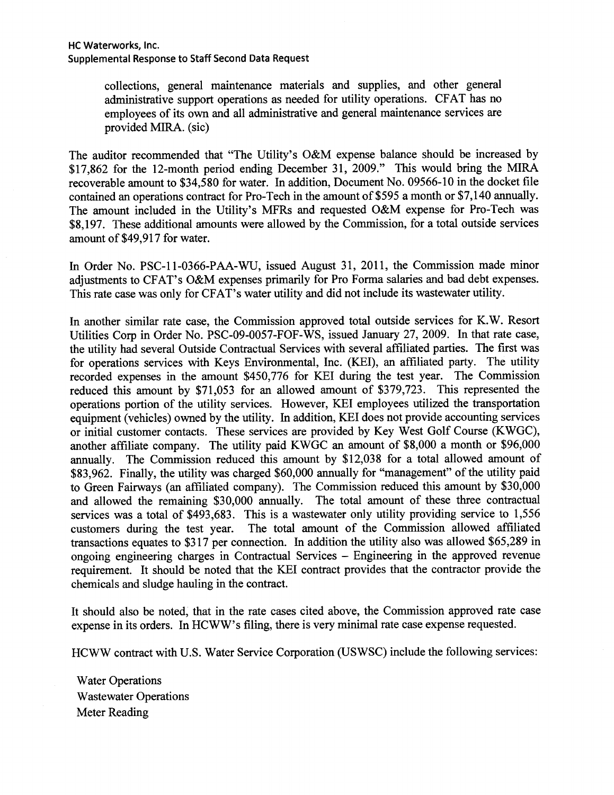collections, general maintenance materials and supplies, and other general administrative support operations as needed for utility operations. CFAT has no employees of its own and all administrative and general maintenance services are provided MIRA. (sic)

The auditor recommended that "The Utility's O&M expense balance should be increased by \$17,862 for the 12-month period ending December 31, 2009." This would bring the MIRA recoverable amount to \$34,580 for water. In addition, Document No. 09566-10 in the docket file contained an operations contract for Pro-Tech in the amount of \$595 a month or \$7,140 annually. The amount included in the Utility's MFRs and requested O&M expense for Pro-Tech was \$8,197. These additional amounts were allowed by the Commission, for a total outside services amount of \$49,917 for water.

In Order No. PSC-11-0366-PAA-WU, issued August 31, 2011, the Commission made minor adjustments to CFAT's O&M expenses primarily for Pro Forma salaries and bad debt expenses. This rate case was only for CFAT's water utility and did not include its wastewater utility.

In another similar rate case, the Commission approved total outside services for K. W. Resort Utilities Corp in Order No. PSC-09-0057-FOF-WS, issued January 27, 2009. In that rate case, the utility had several Outside Contractual Services with several affiliated parties. The first was for operations services with Keys Environmental, Inc. (KEI), an affiliated party. The utility recorded expenses in the amount \$450,776 for KEI during the test year. The Commission reduced this amount by \$71,053 for an allowed amount of \$379,723. This represented the operations portion of the utility services. However, KEI employees utilized the transportation equipment (vehicles) owned by the utility. In addition, KEI does not provide accounting services or initial customer contacts. These services are provided by Key West Golf Course (KWGC), another affiliate company. The utility paid KWGC an amount of \$8,000 a month or \$96,000 annually. The Commission reduced this amount by \$12,038 for a total allowed amount of \$83,962. Finally, the utility was charged \$60,000 annually for "management" of the utility paid to Green Fairways (an affiliated company). The Commission reduced this amount by \$30,000 and allowed the remaining \$30,000 annually. The total amount of these three contractual services was a total of \$493,683. This is a wastewater only utility providing service to 1,556 customers during the test year. The total amount of the Commission allowed affiliated transactions equates to \$317 per connection. In addition the utility also was allowed \$65,289 in ongoing engineering charges in Contractual Services - Engineering in the approved revenue requirement. It should be noted that the KEI contract provides that the contractor provide the chemicals and sludge hauling in the contract.

It should also be noted, that in the rate cases cited above, the Commission approved rate case expense in its orders. In HCWW's filing, there is very minimal rate case expense requested.

HCWW contract with U.S. Water Service Corporation (USWSC) include the following services:

Water Operations Wastewater Operations Meter Reading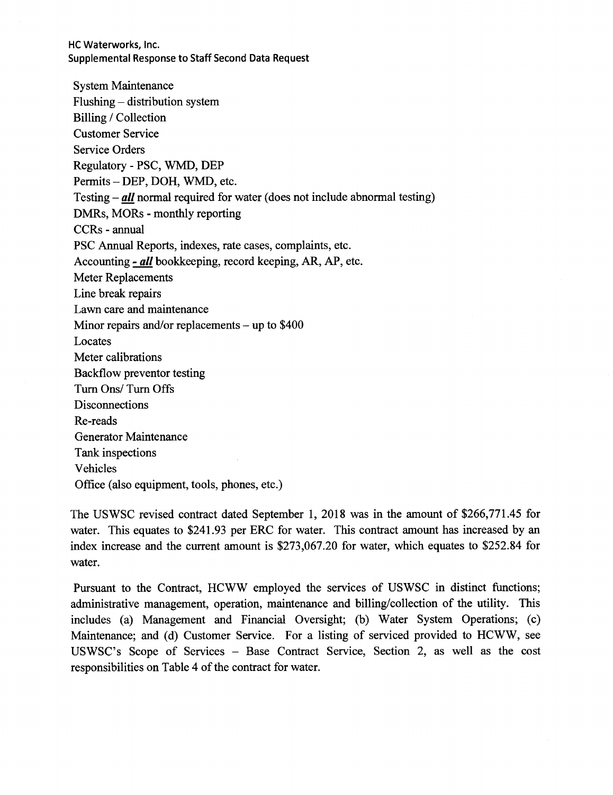System Maintenance Flushing - distribution system Billing / Collection Customer Service Service Orders Regulatory - PSC, WMD, DEP Permits-DEP, DOH, WMD, etc. Testing- *all* normal required for water (does not include abnormal testing) DMRs, MORs - monthly reporting CCRs - annual PSC Annual Reports, indexes, rate cases, complaints, etc. Accounting - *all* bookkeeping, record keeping, AR, AP, etc. Meter Replacements Line break repairs Lawn care and maintenance Minor repairs and/or replacements  $-$  up to \$400 Locates Meter calibrations Backflow preventor testing Turn Ons/ Turn Offs **Disconnections** Re-reads Generator Maintenance Tank inspections Vehicles Office (also equipment, tools, phones, etc.)

The USWSC revised contract dated September 1, 2018 was in the amount of \$266,771.45 for water. This equates to \$241.93 per ERC for water. This contract amount has increased by an index increase and the current amount is \$273,067.20 for water, which equates to \$252.84 for water.

Pursuant to the Contract, HCWW employed the services of USWSC in distinct functions; administrative management, operation, maintenance and billing/collection of the utility. This includes (a) Management and Financial Oversight; (b) Water System Operations; (c) Maintenance; and (d) Customer Service. For a listing of serviced provided to HCWW, see USWSC's Scope of Services - Base Contract Service, Section 2, as well as the cost responsibilities on Table 4 of the contract for water.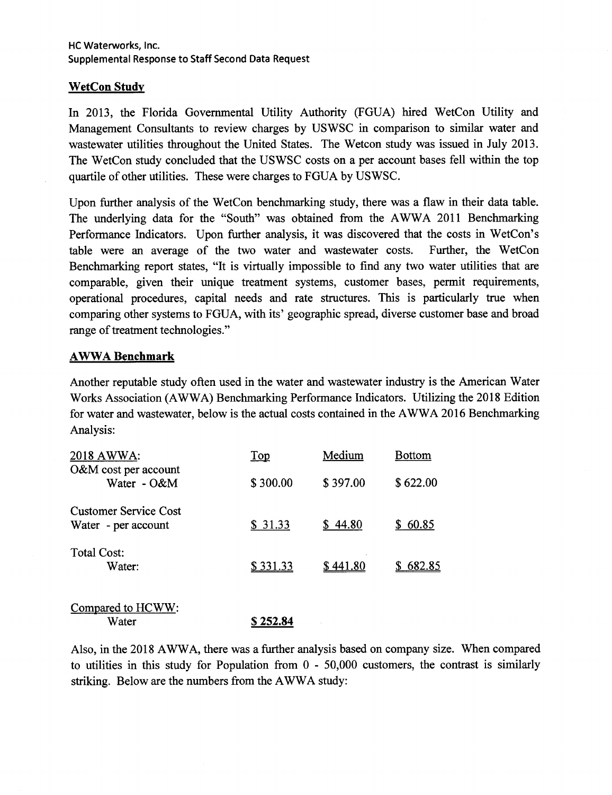## **WetCon Study**

In 2013, the Florida Governmental Utility Authority (FGUA) hired WetCon Utility and Management Consultants to review charges by USWSC in comparison to similar water and wastewater utilities throughout the United States. The Wetcon study was issued in July 2013. The WetCon study concluded that the USWSC costs on a per account bases fell within the top quartile of other utilities. These were charges to FGUA by USWSC.

Upon further analysis of the WetCon benchmarking study, there was a flaw in their data table. The underlying data for the "South" was obtained from the A WWA 2011 Benchmarking Performance Indicators. Upon further analysis, it was discovered that the costs in WetCon's table were an average of the two water and wastewater costs. Further, the WetCon Benchmarking report states, "It is virtually impossible to find any two water utilities that are comparable, given their unique treatment systems, customer bases, permit requirements, operational procedures, capital needs and rate structures. This is particularly true when comparing other systems to FGUA, with its' geographic spread, diverse customer base and broad range of treatment technologies."

## **A WW A Benchmark**

Another reputable study often used in the water and wastewater industry is the American Water Works Association (AWWA) Benchmarking Performance Indicators. Utilizing the 2018 Edition for water and wastewater, below is the actual costs contained in the A WW A 2016 Benchmarking Analysis:

| 2018 AWWA:                                          | $\overline{\text{Top}}$ | Medium   | <b>Bottom</b> |
|-----------------------------------------------------|-------------------------|----------|---------------|
| O&M cost per account<br>Water - O&M                 | \$300.00                | \$397.00 | \$622.00      |
| <b>Customer Service Cost</b><br>Water - per account | \$31.33                 | \$44.80  | \$60.85       |
| Total Cost:<br>Water:                               | \$331.33                | \$441.80 | 682.85        |
|                                                     |                         |          |               |

| Compared to HCWW: |          |
|-------------------|----------|
| Water             | \$252.84 |

Also, in the 2018 AWWA, there was a further analysis based on company size. When compared to utilities in this study for Population from O - 50,000 customers, the contrast is similarly striking. Below are the numbers from the AWWA study: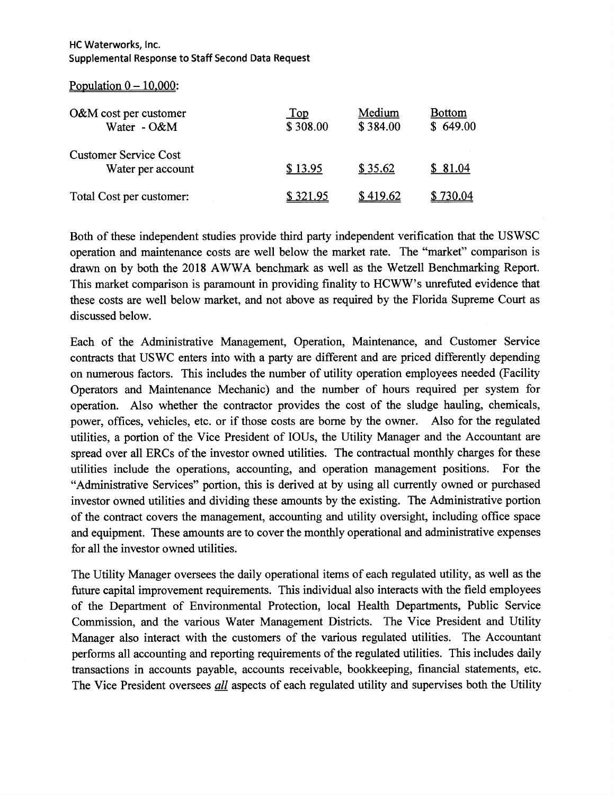Population  $0 - 10,000$ :

| O&M cost per customer<br>Water - O&M              | Top<br>\$308.00 | Medium<br>\$384.00 | <b>Bottom</b><br>\$649.00 |
|---------------------------------------------------|-----------------|--------------------|---------------------------|
| <b>Customer Service Cost</b><br>Water per account | \$13.95         | \$35.62            | \$81.04                   |
| Total Cost per customer:                          | \$321.95        | \$419.62           | 730.04                    |

Both of these independent studies provide third party independent verification that the USWSC operation and maintenance costs are well below the market rate. The "market" comparison is drawn on by both the 2018 A WWA benchmark as well as the Wetzell Benchmarking Report. This market comparison is paramount in providing finality to HCWW's unrefuted evidence that these costs are well below market, and not above as required by the Florida Supreme Court as discussed below.

Each of the Administrative Management, Operation, Maintenance, and Customer Service contracts that USWC enters into with a party are different and are priced differently depending on numerous factors. This includes the number of utility operation employees needed (Facility Operators and Maintenance Mechanic) and the number of hours required per system for operation. Also whether the contractor provides the cost of the sludge hauling, chemicals, power, offices, vehicles, etc. or if those costs are borne by the owner. Also for the regulated utilities, a portion of the Vice President of IOUs, the Utility Manager and the Accountant are spread over all ERCs of the investor owned utilities. The contractual monthly charges for these utilities include the operations, accounting, and operation management positions. For the "Administrative Services" portion, this is derived at by using all currently owned or purchased investor owned utilities and dividing these amounts by the existing. The Administrative portion of the contract covers the management, accounting and utility oversight, including office space and equipment. These amounts are to cover the monthly operational and administrative expenses for all the investor owned utilities.

The Utility Manager oversees the daily operational items of each regulated utility, as well as the future capital improvement requirements. This individual also interacts with the field employees of the Department of Environmental Protection, local Health Departments, Public Service Commission, and the various Water Management Districts. The Vice President and Utility Manager also interact with the customers of the various regulated utilities. The Accountant performs all accounting and reporting requirements of the regulated utilities. This includes daily transactions in accounts payable, accounts receivable, bookkeeping, financial statements, etc. The Vice President oversees *all* aspects of each regulated utility and supervises both the Utility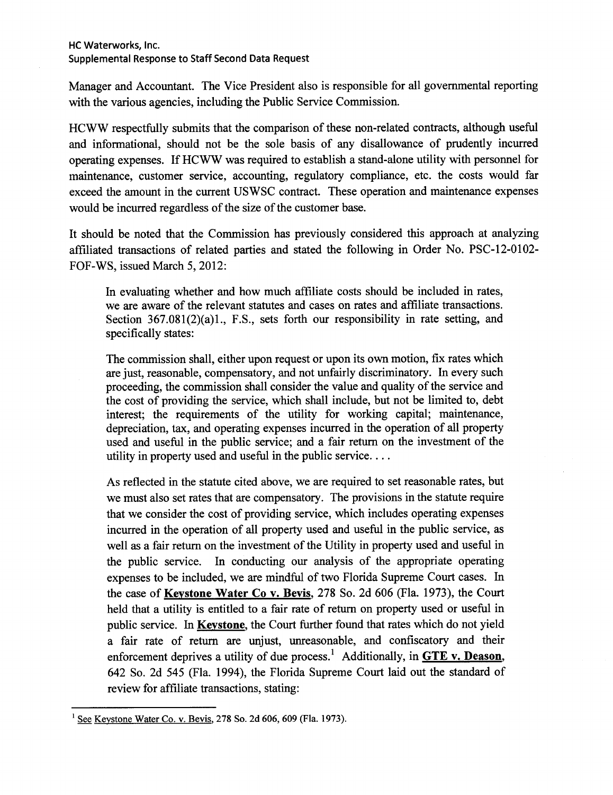Manager and Accountant. The Vice President also is responsible for all governmental reporting with the various agencies, including the Public Service Commission.

HCWW respectfully submits that the comparison of these non-related contracts, although useful and informational, should not be the sole basis of any disallowance of prudently incurred operating expenses. If HCWW was required to establish a stand-alone utility with personnel for maintenance, customer service, accounting, regulatory compliance, etc. the costs would far exceed the amount in the current USWSC contract. These operation and maintenance expenses would be incurred regardless of the size of the customer base.

It should be noted that the Commission has previously considered this approach at analyzing affiliated transactions of related parties and stated the following in Order No. PSC-12-0102- FOF-WS, issued March 5, 2012:

In evaluating whether and how much affiliate costs should be included in rates, we are aware of the relevant statutes and cases on rates and affiliate transactions. Section 367.081(2)(a)1., F.S., sets forth our responsibility in rate setting, and specifically states:

The commission shall, either upon request or upon its own motion, fix rates which are just, reasonable, compensatory, and not unfairly discriminatory. In every such proceeding, the commission shall consider the value and quality of the service and the cost of providing the service, which shall include, but not be limited to, debt interest; the requirements of the utility for working capital; maintenance, depreciation, tax, and operating expenses incurred in the operation of all property used and useful in the public service; and a fair return on the investment of the utility in property used and useful in the public service....

As reflected in the statute cited above, we are required to set reasonable rates, but we must also set rates that are compensatory. The provisions in the statute require that we consider the cost of providing service, which includes operating expenses incurred in the operation of all property used and useful in the public service, as well as a fair return on the investment of the Utility in property used and useful in the public service. In conducting our analysis of the appropriate operating expenses to be included, we are mindful of two Florida Supreme Court cases. In the case of **Keystone Water Co v. Bevis,** 278 So. 2d 606 (Fla. 1973), the Court held that a utility is entitled to a fair rate of return on property used or useful in public service. In **Keystone,** the Court further found that rates which do not yield a fair rate of return are unjust, unreasonable, and confiscatory and their enforcement deprives a utility of due process. 1 Additionally, in **GTE v. Deason,**  642 So. 2d 545 (Fla. 1994), the Florida Supreme Court laid out the standard of review for affiliate transactions, stating:

 $<sup>1</sup>$  See Keystone Water Co. v. Bevis, 278 So. 2d 606, 609 (Fla. 1973).</sup>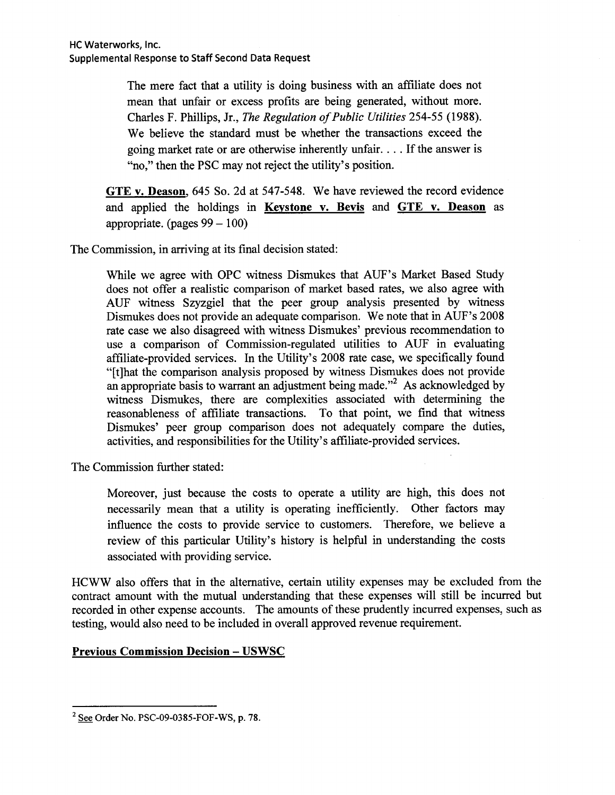The mere fact that a utility is doing business with an affiliate does not mean that unfair or excess profits are being generated, without more. Charles F. Phillips, Jr., *The Regulation of Public Utilities* 254-55 (1988). We believe the standard must be whether the transactions exceed the going market rate or are otherwise inherently unfair .... If the answer is "no," then the PSC may not reject the utility's position.

**GTE v. Deason,** 645 So. 2d at 547-548. We have reviewed the record evidence and applied the holdings in **Keystone v. Bevis** and **GTE v. Deason** as appropriate. (pages  $99 - 100$ )

The Commission, in arriving at its final decision stated:

While we agree with OPC witness Dismukes that AUF's Market Based Study does not offer a realistic comparison of market based rates, we also agree with AUF witness Szyzgiel that the peer group analysis presented by witness Dismukes does not provide an adequate comparison. We note that in AUF's 2008 rate case we also disagreed with witness Dismukes' previous recommendation to use a comparison of Commission-regulated utilities to AUF in evaluating affiliate-provided services. In the Utility's 2008 rate case, we specifically found "[t]hat the comparison analysis proposed by witness Dismukes does not provide an appropriate basis to warrant an adjustment being made."<sup>2</sup> As acknowledged by witness Dismukes, there are complexities associated with determining the reasonableness of affiliate transactions. To that point, we find that witness Dismukes' peer group comparison does not adequately compare the duties, activities, and responsibilities for the Utility's affiliate-provided services.

The Commission further stated:

Moreover, just because the costs to operate a utility are high, this does not necessarily mean that a utility is operating inefficiently. Other factors may influence the costs to provide service to customers. Therefore, we believe a review of this particular Utility's history is helpful in understanding the costs associated with providing service.

HCWW also offers that in the alternative, certain utility expenses may be excluded from the contract amount with the mutual understanding that these expenses will still be incurred but recorded in other expense accounts. The amounts of these prudently incurred expenses, such as testing, would also need to be included in overall approved revenue requirement.

# **Previous Commission Decision - USWSC**

 $2$  See Order No. PSC-09-0385-FOF-WS, p. 78.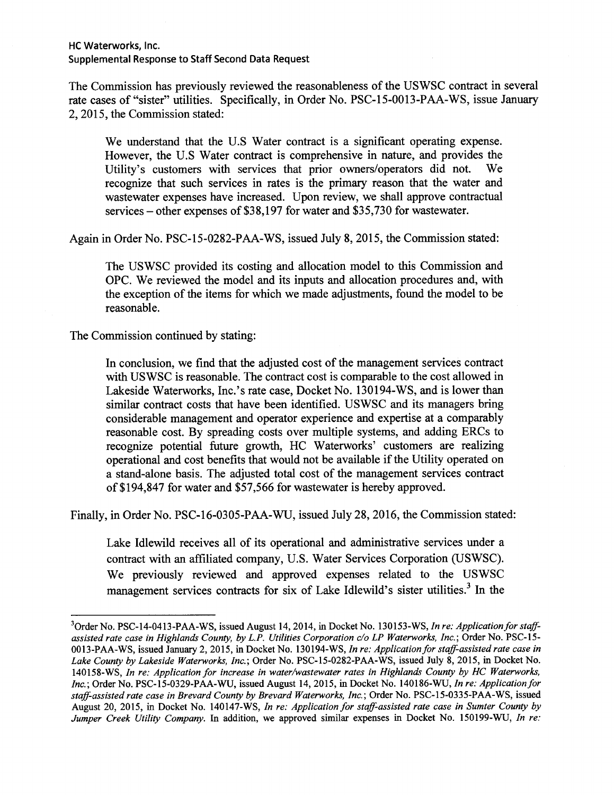The Commission has previously reviewed the reasonableness of the USWSC contract in several rate cases of "sister" utilities. Specifically, in Order No. PSC-15-0013-PAA-WS, issue January 2, 2015, the Commission stated:

We understand that the U.S Water contract is a significant operating expense. However, the U.S Water contract is comprehensive in nature, and provides the Utility's customers with services that prior owners/operators did not. We recognize that such services in rates is the primary reason that the water and wastewater expenses have increased. Upon review, we shall approve contractual services – other expenses of \$38,197 for water and \$35,730 for wastewater.

Again in Order No. PSC-15-0282-PAA-WS, issued July 8, 2015, the Commission stated:

The USWSC provided its costing and allocation model to this Commission and OPC. We reviewed the model and its inputs and allocation procedures and, with the exception of the items for which we made adjustments, found the model to be reasonable.

The Commission continued by stating:

In conclusion, we find that the adjusted cost of the management services contract with USWSC is reasonable. The contract cost is comparable to the cost allowed in Lakeside Waterworks, Inc.'s rate case, Docket No. 130194-WS, and is lower than similar contract costs that have been identified. USWSC and its managers bring considerable management and operator experience and expertise at a comparably reasonable cost. By spreading costs over multiple systems, and adding ERCs to recognize potential future growth, HC Waterworks' customers are realizing operational and cost benefits that would not be available if the Utility operated on a stand-alone basis. The adjusted total cost of the management services contract of \$194,847 for water and \$57,566 for wastewater is hereby approved.

Finally, in Order No. PSC-16-0305-PAA-WU, issued July 28, 2016, the Commission stated:

Lake Idlewild receives all of its operational and administrative services under a contract with an affiliated company, U.S. Water Services Corporation (USWSC). We previously reviewed and approved expenses related to the USWSC management services contracts for six of Lake Idlewild's sister utilities.<sup>3</sup> In the

<sup>&</sup>lt;sup>3</sup>Order No. PSC-14-0413-PAA-WS, issued August 14, 2014, in Docket No. 130153-WS, *In re: Application for staffassisted rate case in Highlands County, by L.P. Utilities Corporation c/o LP Waterworks, Inc.;* Order No. PSC-15- 0013-PAA-WS, issued January 2, 2015, in Docket No. 130194-WS, *In re: Application for staff-assisted rate case in Lake County by Lakeside Waterworks, Inc.;* Order No. PSC-15-0282-PAA-WS, issued July 8, 2015, in Docket No. 140158-WS, *In re: Application for increase in water/wastewater rates in Highlands County by HC Waterworks, Inc.;* Order No. PSC-15-0329-PAA-WU, issued August 14, 2015, in Docket No. 140186-WU, *In re: Application for staff-assisted rate case in Brevard County by Brevard Waterworks, Inc.;* Order No. PSC-15-0335-PAA-WS, issued August 20, 2015, in Docket No. 140147-WS, *In re: Application for staff-assisted rate case in Sumter County by Jumper Creek Utility Company.* In addition, we approved similar expenses in Docket No. 150199-WU, *In re:*